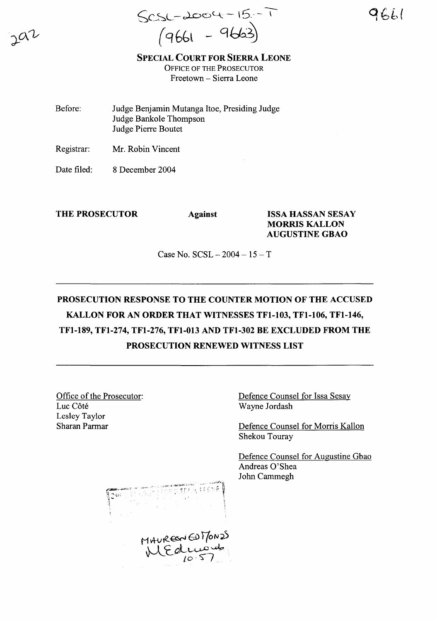$Scs - L\infty$   $-15 - 1$ (9661 - 9663)

SPECIAL COURT FOR SIERRA LEONE OFFICE OF THE PROSECUTOR Freetown - Sierra Leone

Before: Judge Benjamin Mutanga Itoe, Presiding Judge Judge Bankole Thompson Judge Pierre Boutet

Registrar: Mr. Robin Vincent

Date filed: 8 December 2004

THE PROSECUTOR Against ISSA HASSAN SESAY MORRIS KALLON AUGUSTINE GBAO

Case No.  $SCSL - 2004 - 15 - T$ 

## PROSECUTION RESPONSE TO THE COUNTER MOTION OF THE ACCUSED KALLON FOR AN ORDER THAT WITNESSES TFI-I03, TFI-I06, TFl-146, TFl-189, TFl-274, TFl-276, TFI-013 AND TFl-302 BE EXCLUDED FROM THE PROSECUTION RENEWED WITNESS LIST

Office of the Prosecutor: Luc Côté Lesley Taylor Sharan Parmar

Defence Counsel for Issa Sesay Wayne Jordash

Defence Counsel for Morris Kallon Shekou Touray

Defence Counsel for Augustine Gbao Andreas 0'Shea John Cammegh

MAUREON ENTONOS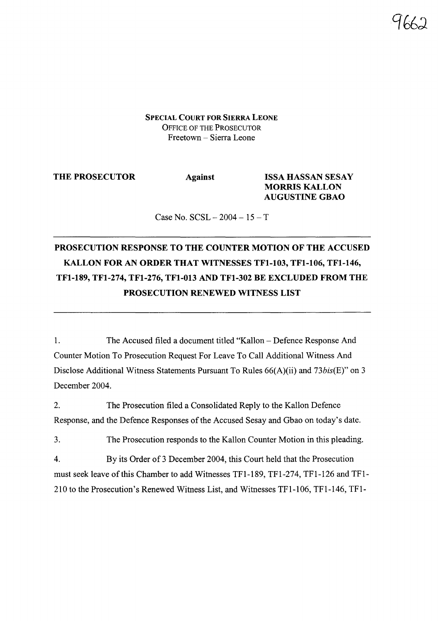SPECIAL COURT FOR SIERRA LEONE OFFICE OF THE PROSECUTOR Freetown - Sierra Leone

THE PROSECUTOR Against ISSA HASSAN SESAY MORRIS KALLON AUGUSTINE GBAO

Case No.  $SCSL - 2004 - 15 - T$ 

## PROSECUTION RESPONSE TO THE COUNTER MOTION OF THE ACCUSED KALLON FOR AN ORDER THAT WITNESSES TFI-I03, TFI-I06, TFl-146, TFl-189, TFl-274, TFl-276, TFI-013 AND TFl-302 BE EXCLUDED FROM THE PROSECUTION RENEWED WITNESS LIST

1. The Accused filed a document titled "Kallon - Defence Response And Counter Motion To Prosecution Request For Leave To Call Additional Witness And Disclose Additional Witness Statements Pursuant To Rules 66(A)(ii) and *73bis(E)"* on 3 December 2004.

2. The Prosecution filed a Consolidated Reply to the Kallon Defence Response, and the Defence Responses of the Accused Sesay and Gbao on today's date.

3. The Prosecution responds to the Kallon Counter Motion in this pleading.

4. By its Order of 3 December 2004, this Court held that the Prosecution must seek leave ofthis Chamber to add Witnesses TFl-189, TFl-274, TFl-126 and TFl-210 to the Prosecution's Renewed Witness List, and Witnesses TFl-l06, TFl-146, TFl-